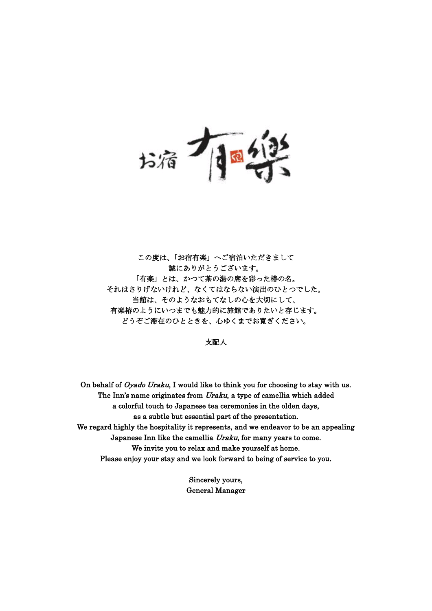j 扮荷 j

この度は、「お宿有楽」へご宿泊いただきまして 誠にありがとうございます。 「有楽」とは、かつて茶の湯の席を彩った椿の名。 それはさりげないけれど、なくてはならない演出のひとつでした。 当館は、そのようなおもてなしの心を大切にして、 有楽椿のようにいつまでも魅力的に旅館でありたいと存じます。 どうぞご滞在のひとときを、心ゆくまでお寛ぎください。

支配人

On behalf of *Oyado Uraku*, I would like to think you for choosing to stay with us. The Inn's name originates from Uraku, a type of camellia which added a colorful touch to Japanese tea ceremonies in the olden days, as a subtle but essential part of the presentation. We regard highly the hospitality it represents, and we endeavor to be an appealing Japanese Inn like the camellia Uraku, for many years to come. We invite you to relax and make yourself at home. Please enjoy your stay and we look forward to being of service to you.

> Sincerely yours, General Manager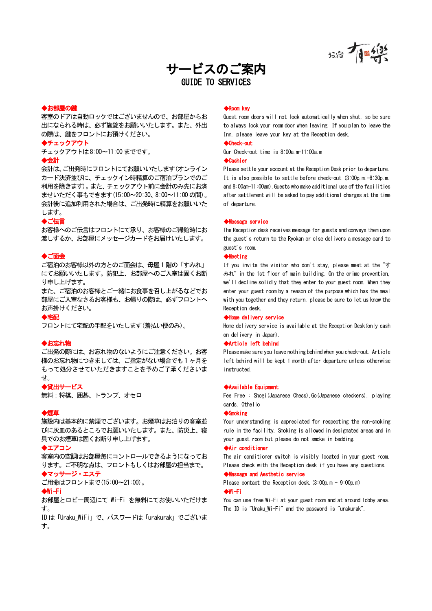墙有画线

# サービスのご案内 GUIDE TO SERVICES

## ◆お部屋の鍵

客室のドアは自動ロックではございませんので、お部屋からお 出になられる時は、必ず施錠をお願いいたします。また、外出 の際は、鍵をフロントにお預けください。

◆チェックアウト

チェックアウトは8:00~11:00 までです。

## ◆会計

会計は、ご出発時にフロントにてお願いいたします(オンライン カード決済並びに、チェックイン時精算のご宿泊プランでのご 利用を除きます)。また、チェックアウト前に会計のみ先にお済 ませいただく事もできます(15:00~20:30、8:00~11:00 の間)。 会計後に追加利用された場合は、ご出発時に精算をお願いいた します。

### ◆ご伝言

お客様へのご伝言はフロントにて承り、お客様のご帰館時にお 渡しするか、お部屋にメッセージカードをお届けいたします。

### ◆ご面会

ご宿泊のお客様以外の方とのご面会は、母屋 1 階の「すみれ」 にてお願いいたします。防犯上、お部屋へのご入室は固くお断 り申し上げます。

また、ご宿泊のお客様とご一緒にお食事を召し上がるなどでお 部屋にご入室なさるお客様も、お帰りの際は、必ずフロントへ お声掛けください。

# ◆宅配

フロントにて宅配の手配をいたします(着払い便のみ)。

### ◆お忘れ物

ご出発の際には、お忘れ物のないようにご注意ください。お客 様のお忘れ物につきましては、ご指定がない場合でも 1 ヶ月を もって処分させていただきますことを予めご了承くださいま せ。

#### ◆貸出サービス

無料:将棋、囲基、トランプ、オヤロ

### ◆煙草

施設内は基本的に禁煙でございます。お煙草はお泊りの客室並 びに灰皿のあるところでお願いいたします。また、防災上、寝 具でのお煙草は固くお断り申し上げます。

### ◆エアコン

客室内の空調はお部屋毎にコントロールできるようになってお ります。ご不明な点は、フロントもしくはお部屋の担当まで。 ◆マッサージ・エステ

ご用命はフロントまで(15:00~21:00)。

#### ◆Wi-Fi

お部屋とロビー周辺にて Wi-Fi を無料にてお使いいただけま す。

ID は「Uraku\_WiFi」で、パスワードは「urakurak」でございま す。

# ◆Room key

Guest room doors will not lock automatically when shut, so be sure to always lock your room door when leaving. If you plan to leave the Inn, please leave your key at the Reception desk.

## ◆Check-out

Our Check-out time is 8:00a.m-11:00a.m

## ◆Cashier

Please settle your account at the Reception Desk prior to departure. It is also possible to settle before check-out (3:00p.m.-8:30p.m. and 8:00am-11:00am). Guests who make additional use of the facilities after settlement will be asked to pay additional charges at the time of departure.

### ◆Message service

The Reception desk receives message for guests and conveys them upon the guest's return to the Ryokan or else delivers a message card to guest's room.

# ◆Meeting

If you invite the visitor who don't stay, please meet at the "す みれ" in the 1st floor of main building. On the crime prevention, we'll decline solidly that they enter to your guest room. When they enter your guest room by a reason of the purpose which has the meal with you together and they return, please be sure to let us know the Reception desk.

#### ◆Home delivery service

Home delivery service is available at the Reception Desk(only cash on delivery in Japan).

## ◆Article left behind

Please make sure you leave nothing behind when you check-out. Article left behind will be kept 1 month after departure unless otherwise instructed.

## ◆Available Equipment

Fee Free : Shogi (Japanese Chess), Go (Japanese checkers), playing cards, Othello

### ◆Smoking

Your understanding is appreciated for respecting the non-smoking rule in the facility. Smoking is allowed in designated areas and in your guest room but please do not smoke in bedding.

## ◆Air conditioner

The air conditioner switch is visibly located in your guest room. Please check with the Reception desk if you have any questions.

# ◆Massage and Aesthetic service

Please contact the Reception desk.  $(3:00p. m - 9:00p. m)$ ◆Wi-Fi

You can use free Wi-Fi at your guest room and at around lobby area. The ID is "Uraku Wi-Fi" and the password is "urakurak".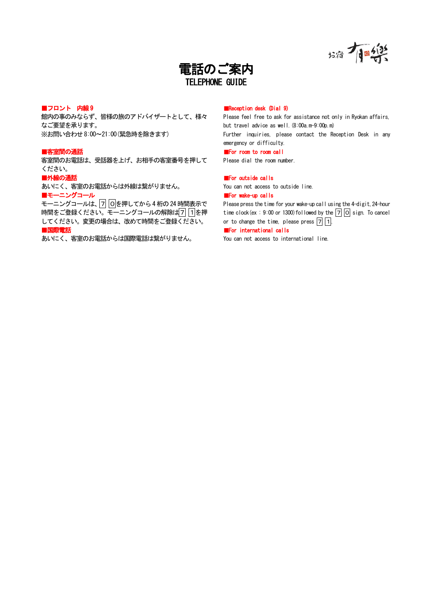



# ■フロント 内線9

館内の事のみならず、皆様の旅のアドバイザートとして、様々 なご要望を承ります。 ※お問い合わせ8:00~21:00(緊急時を除きます)

# ■客室間の通話

客室間のお電話は、受話器を上げ、お相手の客室番号を押して ください。

# ■外線の通話

あいにく、客室のお電話からは外線は繋がりません。 ■モーニングコール

モーニングコールは、7 0を押してから4桁の24時間表示で 時間をご登録ください。 モーニングコールの解除は7 1を押 してください。変更の場合は、改めて時間をご登録ください。 ■国際電話

あいにく、客室のお電話からは国際電話は繋がりません。

## ■Reception desk (Dial 9)

Please feel free to ask for assistance not only in Ryokan affairs, but travel advice as well.(8:00a.m-9:00p.m) Further inquiries, please contact the Reception Desk in any emergency or difficulty. ■For room to room call

# Please dial the room number.

## ■For outside calls

You can not access to outside line.

# ■For wake-up calls

Please press the time for your wake-up call using the 4-digit,24-hour time clock (ex :  $9:00$  or 1300) followed by the  $\boxed{7}$   $\boxed{0}$  sign. To cancel or to change the time, please press  $\boxed{7}$   $\boxed{1}$ .

### ■For international calls

You can not access to international line.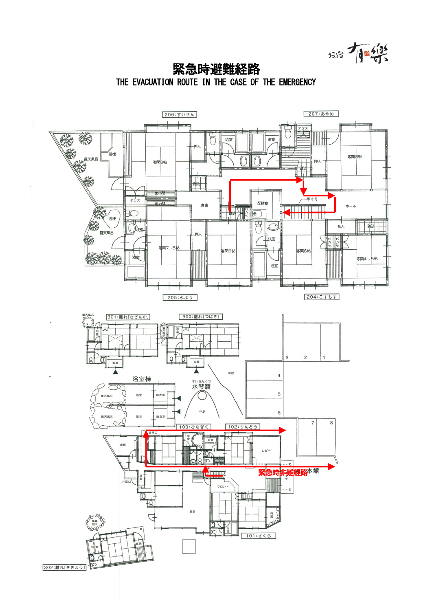墙有學

 $\overline{a}$ 緊急時避難経路 THE EVACUATION ROUTE IN THE CASE OF THE EMERGENCY

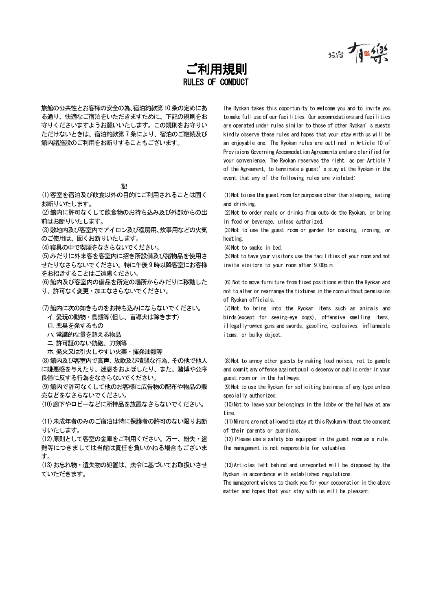お宿 1日 1

# $\mathbb{R}$ ご利用規則 RULES OF CONDUCT

旅館の公共性とお客様の安全の為、宿泊約款第10条の定めにあ る通り、快適なご宿泊をいただきますために、下記の規則をお 守りくださいますようお願いいたします。この規則をお守りい ただけないときは、宿泊約款第 7 条により、宿泊のご継続及び 館内諸施設のご利用をお断りすることもございます。

(1)客室を宿泊及び飲食以外の目的にご利用されることは固く お断りいたします。

(2)館内に許可なくして飲食物のお持ち込み及び外部からの出 前はお断りいたします。

(3)敷地内及び客室内でアイロン及び暖房用、炊事用などの火気 のご使用は、固くお断りいたします。

(4)寝具の中で喫煙をなさらないでください。 (4)Not to smoke in bed.

(5)みだりに外来客を客室内に招き所設備及び諸物品を使用さ せたりなさらないでください。特に午後 9 時以降客室にお客様 をお招きすることはご遠慮ください。

(6)館内及び客室内の備品を所定の場所からみだりに移動した り、許可なく変更・加工なさらないでください。

(7)館内に次の如きものをお持ち込みにならないでください。

イ.愛玩の動物・鳥類等(但し、盲導犬は除きます)

ロ.悪臭を発するもの

ハ.常識的な量を超える物品

ニ.許可証のない銃砲、刀剣等

ホ.発火又は引火しやすい火薬・揮発油類等

(8)館内及び客室内で高声、放歌及び喧騒な行為、その他で他人 に嫌悪感を与えたり、迷惑をおよぼしたり、また、賭博や公序 良俗に反する行為をなさらないでください。

(9)館内で許可なくして他のお客様に広告物の配布や物品の販 売などをなさらないでください。

(10)廊下やロビーなどに所持品を放置なさらないでください。 (10)Not to leave your belongings in the lobby or the hallway at any

(11)未成年者のみのご宿泊は特に保護者の許可のない限りお断 りいたします。

(12)原則として客室の金庫をご利用ください。万一、紛失・盗 難等につきましては当館は責任を負いかねる場合もございま す。

(13)お忘れ物・遺失物の処置は、法令に基づいてお取扱いさせ ていただきます。

The Ryokan takes this opportunity to welcome you and to invite you to make full use of our facilities. Our accommodations and facilities are operated under rules similar to those of other Ryokan's guests kindly observe these rules and hopes that your stay with us will be an enjoyable one. The Ryokan rules are outlined in Article 10 of Provisions Governing Accommodation Agreements and are clarified for your convenience. The Ryokan reserves the right, as per Article 7 of the Agreement, to terminate a guest's stay at the Ryokan in the event that any of the following rules are violated:

(1)Not to use the guest room for purposes other than sleeping, eating and drinking.

(2)Not to order meals or drinks from outside the Ryokan, or bring in food or beverage, unless authorized.

(3)Not to use the guest room or garden for cooking, ironing, or heating.

(5)Not to have your visitors use the facilities of your room and not invite visitors to your room after 9:00p.m.

(6) Not to move furniture from fixed positions within the Ryokan and not to alter or rearrange the fixtures in the room without permission of Ryokan officials.

(7)Not to bring into the Ryokan items such as animals and birds(except for seeing-eye dogs), offensive smelling items, illegally-owned guns and swords, gasoline, explosives, inflammable items, or bulky object.

(8)Not to annoy other guests by making loud noises, not to gamble and commit any offense against public decency or public order in your guest room or in the hallways.

(9)Not to use the Ryokan for soliciting business of any type unless specially authorized.

time.

(11)Minors are not allowed to stay at this Ryokan without the consent of their parents or guardians.

(12) Please use a safety box equipped in the guest room as a rule. The management is not responsible for valuables.

(13)Articles left behind and unreported will be disposed by the Ryokan in accordance with established regulations.

The management wishes to thank you for your cooperation in the above matter and hopes that your stay with us will be pleasant.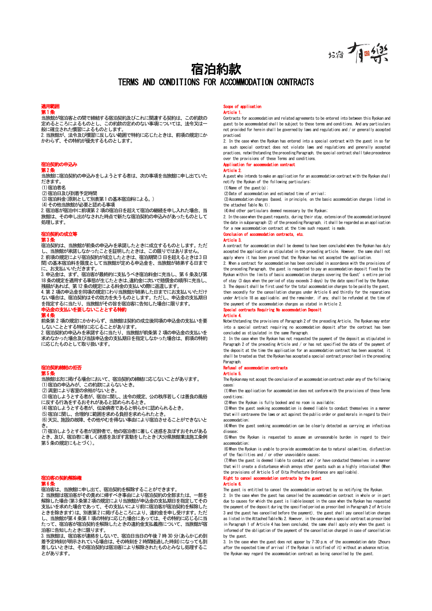墙顶船

# 宿泊約款 TERMS AND CONDITIONS FOR ACCOMMODATION CONTRACTS

 $\mathbf{r}$ 

# 第1条

当旅館が宿泊客との間で締結する宿泊契約及びこれに関連する契約は、この約款の 定めるところによるものとし、この約款の定めのない事項については、法令又は一 般に確立された慣習によるものとします。

2.当旅館が、法令及び慣習に反しない範囲で特約に応じたときは、前項の規定にか - 一流流は、「一流」。<br>かわらず、その特約が優先するものとします。

# 旧/H大<br>第2条

当旅館に宿泊契約の申込みをしようとする者は、次の事項を当旅館に申し出ていた だきます。

.<br>(1)宿泊者名

(2)宿泊日及び到着予定時間

(3)宿泊料金(原則として別表第1の基本宿泊料による。)

(4)その他当旅館が必要と認める事項

2.宿泊客が宿泊中に前項第 2 項の宿泊日を超えて宿泊の継続を申し入れた場合、当 旅館は、その申し出がなされた時点で新たな宿泊契約の申込みがあったものとして 処理します。

#### 第3条

宿泊契約は、当旅館が前条の申込みを承諾したときに成立するものとします。ただ し、当旅館が承諾しなかったことを証明したときは、この限りではありません。 2.前項の規定により宿泊契約が成立したときは、宿泊期間(3日を超えるときは3日 間)の基本宿泊料を限度として当旅館が定める申込金を、当旅館が姉弟する日まで

に、お支払いいただきます。 3.申込金は、まず、宿泊客が最終的に支払うべき宿泊料金に充当し、第 6 条及び第 18条の規定を適用する事態が生じたときは、違約金に次いで賠償金の順序に充当し、 残額があれば、第12条の規定による料金の支払いの際に返還します。

4.第 2 項の申込金を同項の規定にわり当旅館が姉弟した日までにお支払いいただけ ない場合は、宿泊契約はその効力を失うものとします。ただし、申込金の支払期日 を指定するに当たり、当旅館がその旨を宿泊客に告知した場合に限ります。

前条第 2 項の規定にかかわらず、当旅館は契約の成立後同項の申込金の支払いを要

しないこととする特約に応じることがあります。 2.宿泊契約の申込みを承諾するに当たり、当旅館が前条第 2 項の申込金の支払いを <u>と、はカメディンディンディスターファン、コンスターファンディンディング・コンスター</u><br>求めなかった場合及び当該申込金の支払期日を指定しなかった場合は、前項の特約 に応じたものとして取り扱います。

第5条

<u>。</u><br>当旅館は次に掲げる場合において、宿泊契約の締結に応じないことがあります。 (1)宿泊の申込みが、この約款によらないとき。

(2)満室により客室の余裕がないとき。

(3)宿泊しようとする者が、宿泊に関し、法令の規定、公の秩序若しくは善良の風俗 に反する行為をするおそれがあると認められるとき。

(4)宿泊しようとする者が、伝染病者であると明らかに認められるとき。

(5)宿泊に関し、合理的に範囲を求める負担を求められたとき。

(6)天災、施設の故障、その他やむを得ない事由により宿泊させることができないと き。

(7)宿泊しようとする者が泥酔者で、他の宿泊者に著しく迷惑を及ぼすおそれがある とき、及び、宿泊者に著しく迷惑を及ぼす言動をしたとき(大分県旅館業法施工条例 第5条の規定にもとづく)。

# **無任宵**<br>第6条

宿泊客は、当旅館に申し出て、宿泊契約を解除することができます。

2.当旅館は宿泊客がその責めに帰すべき事由により宿泊契約の全部または、一部を 解除した場合(第3条第2項の規定により当旅館が申込金の支払期日を指定してその ……<br>支払いを求めた場合であって、その支払いにより前に宿泊客が宿泊契約を解除した ときを除きます)は、別表第2に掲げるところにより、違約金を申し受けます。ただ し、当旅館が第4 条第1 項の特約に応じた場合にあっては、その特約に応じるに当 たって、宿泊客が宿泊契約を解除したときの違約金支払義務について、当旅館が宿 たます。 高温の 高温のなどが…

3. 当旅館は、宿泊客が連絡をしないで、宿泊日当日の午後7時 30 分(あらかじめ到 着予定時刻が明示されている場合は、その時刻を2 時間経過した時刻)になっても到 着しないときは、その宿泊契約は宿泊客により解除されたものとみなし処理するこ とがあります。

# e of application

## Article 1.

Contracts for accommodation and related agreements to be entered into between this Ryokan and guest to be accommodated shall be subject to these terms and conditions. And any particulars not provided for herein shall be governed by laws and regulations and / or generally accepted practiced.

2. In the case when the Ryokan has entered into a special contract with the guest in so far as such special contract does not violate laws and regulations and generally accepted practices, notwithstanding the preceding Paragraph, the special contract shall take precedence over the provisions of these Terms and conditions.

### Application for accommodation contract

### Article 2.

A guest who intends to make an application for an accommodation contract with the Ryokan shall notify the Ryokan of the following particulars:

(1)Name of the guest(s);

(2)Date of accommodation and estimated time of arrival; (3)Accommodation charges (based, in principle, on the basic accommodation charges listed in

the attached Table No.1);

(4)And other particulars deemed necessary by the Ryokan;

2. In the case when the guest requests, during their stay, extension of the accommodation beyond the date in subparagraph (2) of the preceding Paragraph, it shall be regarded as an application for a new accommodation contract at the time such request is made.

#### 宿泊契約の成立等 Conclusion of accommodation contracts, etc. Article 3.

A contract for accommodation shall be deemed to have been concluded when the Ryokan has duly accepted the application as stipulated in the preceding article. However, the same shall not apply where it has been proved that the Ryokan has not accepted the application.

2. When a contract for accommodation has been concluded in accordance with the provisions of the preceding Paragraph, the guest is requested to pay an accommodation deposit fixed by the Ryokan within the limits of basic accommodation charges covering the Guest's entire period of stay (3 days when the period of stay exceeds 3 days) by the date specified by the Ryokan. 3. The deposit shall be first used for the total accommodation charges to be paid by the guest, then secondly for the cancellation charges under Article 6 and thirdly for the reparations under Article 18 as applicable; and the remainder, if any, shall be refunded at the time of the payment of the accommodation charges as stated in Article 2.

### 申込金の支払いを要しないこととする特約 Special contracts Requiring No accommodation Deposit (第4条 Special contracts Requiring No accommodation Deposit<br>第4条 Special contracts Requiring No account of

Notwithstanding the provisions of Paragraph 2 of the preceding Article, The Ryokan may enter into a special contract requiring no accommodation deposit after the contract has been concluded as stipulated in the same Paragraph.

2. In the case when the Ryokan has not requested the payment of the deposit as stipulated in Paragraph 2 of the preceding Article and / or has not specified the date of the payment of the deposit at the time the application for an accommodation contract has been accepted, it shall be treated as that the Ryokan has accepted a special contract prescribed in the preceding Paragraph.

#### 宿泊契約締結の拒否 Refusal of accommodation contracts Article 5.

The Ryokan may not accept the conclusion of an accommodation contract under any of the following cases:

(1)When the application for accommodation does not conform with the provisions of these Terms conditions;

(2)When the Ryokan is fully booked and no room is available;

(3)When the guest seeking accommodation is deemed liable to conduct themselves in a manner that will contravene the laws or act against the public order or good morals in regard to their accommodation;

(4)When the guest seeking accommodation can be clearly detected as carrying an infectious disease;

(5)When the Ryokan is requested to assume an unreasonable burden in regard to their accommodation;

(6)When the Ryokan is unable to provide accommodation due to natural calamities, disfunction of the facilities and / or other unavoidable causes;

(7)When the guest is deemed liable to conduct and / or have conducted themselves in a manner that will create a disturbance which annoys other guests such as a highly intoxicated (When the provisions of Article 5 of Oita Prefecture Ordinance are applicable).

### Right to cancel accommodation contracts by the guest

Article 6.

The guest is entitled to cancel the accommodation contract by so notifying the Ryokan.

2. In the case when the guest has cancelled the accommodation contract in whole or in part due to causes for which the guest is liable(except in the case when the Ryokan has requested the payment of the deposit during the specified period as prescribed in Paragraph 2 of Article 3 and the guest has cancelled before the payment), the guest shall pay cancellation charges as listed in the Attached Table No.2. However, in the case when a special contract as prescribed in Paragraph 1 of Article 4 has been concluded, the same shall apply only when the guest is informed of the obligation of the payment of the cancellation charged in case of cancellation by the guest.

3. In the case when the guest does not appear by 7:30 p.m. of the accommodation date (2hours after the expected time of arrival if the Ryokan is notified of it) without an advance notice, the Ryokan may regard the accommodation contract as being cancelled by the guest.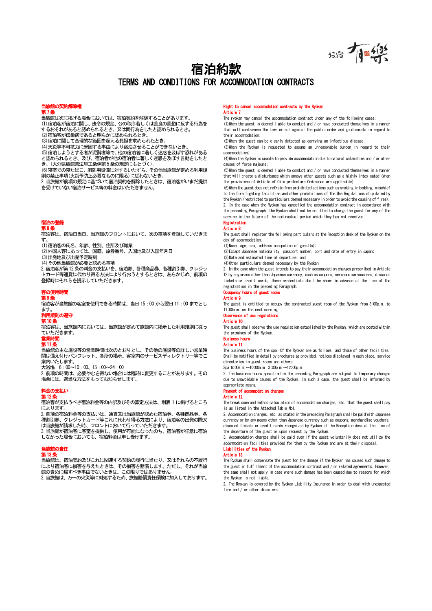お宿 有国外

# $\mathbf{r}$ 宿泊約款 TERMS AND CONDITIONS FOR ACCOMMODATION CONTRACTS

# 当旅館の契約解<br>第7条<br>第*1*条

- 当旅館は次に掲げる場合においては、宿泊契約を解除することがあります。 (1)宿泊客が宿泊に関し、法令の規定、公の秩序若しくは善良の風俗に反する行為を するおそれがあると認められるとき、又は同行為をしたと認められるとき。 (2)宿泊客が伝染病であると明らかに認められるとき。
- (3)宿泊に関して合理的な範囲を超える負担を求められたとき。
- (4)天災等不可抗力に起因する事由により宿泊させることができないとき。
- (5)宿泊しようとする者が泥酔者等で、他の宿泊者に著しく迷惑を及ぼす恐れがある と認められるとき、及び、宿泊者が他の宿泊者に著しく迷惑を及ぼす言動をしたと
- き。(大分県旅館業法施工条例第5条の規定にもとづく)。 こ。この方法法法法法法とに対する、<br>(6)寝室での寝たばこ、消防用設備に対するいたずら、その他当旅館が定める利用規 則の禁止事項(火災予防上必要なものに限る)に従わないとき。
- 2.当旅館が前項の規定に基づいて宿泊契約を解除したときは、宿泊客がいまだ提供 - ニット・・・・・・・・・・・・・・・・・・・・・・・・・・。<br>を受けていない宿泊サービス等の料金はいただきません。

# 宿泊の登<mark>録</mark><br>第8条

。<br>宿泊客は、宿泊日当日、当旅館のフロントにおいて、次の事項を登録していだきま す。 (1)宿泊客の氏名、年齢、性別、住所及び職業

(2)外国人客にあっては、国籍、旅券番号、入国地及び入国年月日

(3)出発地及び出発予定時刻

(4)その他当旅館が必要と認める事項

2.宿泊客が第12条の料金の支払いを、宿泊券、各種商品券、各種割引券、クレジッ トカード等通貨に代わり得る方法により行おうとするときは、あらかじめ、前項の 登録時にそれらを提示していただきます。

# 客の使用<br>第9条

宿泊客が当旅館の客室を使用できる時間は、当日 15:00 から翌日 11:00 までとし ます。

# **第10条**

宿泊客は、当旅館内においては、当旅館が定めて旅館内に掲示した利用規則に従っ ていただきます。 営業時間 Business hours Article 11.

### 第11条

当旅館の主な施設等の営業時間は次のとおりとし、その他の施設等の詳しい営業時 間は備え付けパンフレット、各所の掲示、客室内のサービスディレクトリー等でご 案内いたします。 大浴場 6:00~10:00. 15:00~24:00

2.前項の時間は、必要やむを得ない場合には臨時に変更することがあります。その 場合には、適当な方法をもってお知らせします。

# 第12条

宿泊客が支払うべき宿泊料金等の内訳及びその算定方法は、別表 1 に掲げるところ によります

2.前項の宿泊料金等の支払いは、通貨又は当旅館が認めた宿泊券、各種商品券、各 <u>… かなシロローエッジスプして、「ニススでコルログ」</u><br>種割引券、クレジットカード等これに代わり得る方法により、宿泊客の出発の際又 は当旅館が請求した時、フロントにおいて行っていただきます。

3.当旅館が宿泊客に客室を提供し、使用が可能になったのち、宿泊客が任意に宿泊 しなかった場合においても、宿泊料金は申し受けます。

第13条

当旅館は、宿泊契約及びこれに関連する契約の履行に当たり、又はそれらの不履行 により宿泊客に損害を与えたときは、その損害を賠償します。ただし、それが当旅 。<br>館の責めに帰すべき事由でないときは、この限りではありません。

2.当旅館は、万一の火災等に対処するため、旅館賠償責任保険に加入しております。

#### Right to cancel accommodation contracts by the Ryok Article 7.

The ryokan may cancel the accommodation contract under any of the following cases;

(1)When the guest is deemed liable to conduct and / or have conducted themselves in a manner that will contravene the laws or act against the public order and good morals in regard to their accommodation;

(2)When the guest can be clearly detected as carrying an infectious disease;

(3)When the Ryokan is requested to assume an unreasonable burden in regard to their accommodation;

(4)When the Ryokan is unable to provide accommodation due to natural calamities and / or other causes of force majeure;

(5)When the guest is deemed liable to conduct and / or have conducted themselves in a manner that will create a disturbance which annoys other guests such as a highly intoxicated (when the provisions of Article of Oita prefecture Ordinance are applicable)

(6)When the guest does not refrain from prohibited actions such as smoking in bedding, mischief to the fire fighting facilities and other prohibitions of the Use Regulations stipulated by the Ryokan (restricted to particulars deemed necessary in order to avoid the causing of fires).

2. In the case when the Ryokan has cancelled the accommodation contract in accordance with the preceding Paragraph, the Ryokan shall not be entitled to charge the guest for any of the service in the future of the contractual period which they has not received.

# 宿泊の登録 Registration Article 8.

The guest shall register the following particulars at the Reception desk of the Ryokan on the day of accommodation;

(1)Name, age, sex, address occupation of guest(s);

(2)Except Japanese nationality, passport number, port and date of entry in Japan;

(3)Date and estimated time of departure; and (4)Other particulars deemed necessary by the Ryokan.

2. In the case when the guest intends to pay their accommodation charges prescribed in Article 12 by any means other than Japanese currency, such as coupons, merchandise vouchers, discount tickets or credit cards, these credentials shall be shown in advance at the time of the registration in the preceding Paragraph. Occupancy hours of guest roo

# Article 9.

The guest is entitled to occupy the contracted guest room of the Ryokan from 3:00p.m. to 11:00a.m. on the next morning. **he of use regulation** 

# Article 10.

The guest shall observe the use regulation established by the Ryokan, which are posted within the premises of the Ryokan.

The business hours of the spa. Of the Ryokan are as follows, and those of other facilities. Shall be notified in detail by brochures as provided, notices displayed in each place, service directories in guest rooms and others.

Spa 6:00a.m.~10:00a.m. 3:00p.m.~12:00p.m.

2. The business hours specified in the preceding Paragraph are subject to temporary changes due to unavoidable causes of the Ryokan. In such a case, the guest shall be informed by appropriate means.

# 料金の支払い Payment of accommodation charges<br>第12条

The break down and method calculation of accommodation charges, etc. that the guest shall pay is as listed in the Attached Table No1.

2. Accommodation charges, etc. as stated in the preceding Paragraph shall be paid with Japanese currency or by any means other than Japanese currency such as coupons, merchandise vouchers, discount tickets or credit cards recognized by Ryokan at the Reception desk at the time of the departure of the guest or upon request by the Ryokan.

3. Accommodation charges shall be paid even if the guest voluntarily does not utilize the accommodation facilities provided for them by the Ryokan and are at their disposal. 当旅館の責任 Liabilities of the Ryokan

## Article 13.

The Ryokan shall compensate the guest for the damage if the Ryokan has caused such damage to the guest in fulfillment of the accommodation contract and / or related agreements. However, the same shall not apply in case where such damage has been caused due to reasons for which the Ryokan is not liable.

2. The Ryokan is covered by the Ryokan Liability Insurance in order to deal with unexpected fire and / or other disasters.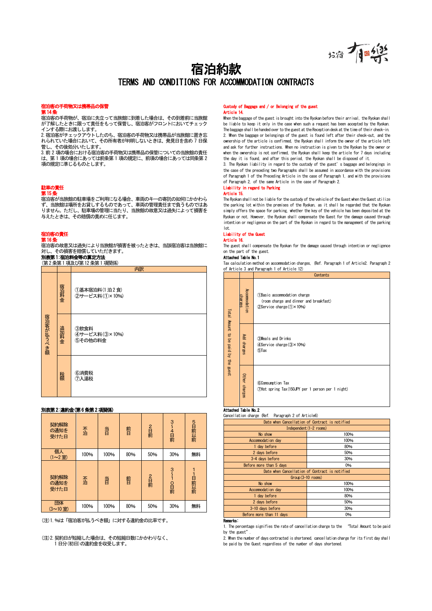

# 宿泊約款 TERMS AND CONDITIONS FOR ACCOMMODATION CONTRACTS

 $\mathbf{r}$ 

# 第14条

宿泊客の手荷物が、宿泊に先立って当旅館に到着した場合は、その到着前に当旅館 が了解したときに限って責任をもって保管し、宿泊客がフロントにおいてチェック インする際にお渡しします。

2.宿泊客がチェックアウトしたのち、宿泊客の手荷物又は携帯品が当旅館に置き忘 れられていた場合において、その所有者が判明しないときは、発見日を含め 7 日保 管し、その後処分いたします。

3.前 2 項の場合における宿泊客の手荷物又は携帯品の保管についての当旅館の責任 は、第 1 項の場合にあっては前条第 1 項の規定に、前項の場合にあっては同条第 2 項の規定に準じるものとします。

# 駐車<mark>の責任</mark><br>第15条

宿泊客が当旅館の駐車場をご利用になる場合、車両のキーの寄託の如何にかかわら ず、当旅館は場所をお貸しするものであって、車両の管理責任まで負うものではあ りません。ただし、駐車場の管理に当たり、当旅館の故意又は過失によって損害を 与えたときは、その賠償の責めに任じます。

# 宿泊客の責任<br>第 16 条

宿泊客の故意又は過失により当旅館が損害を被ったときは、当該宿泊客は当旅館に 対し、その損害を賠償していただきます。

別表第1:宿泊料金等の算定方法

(第2条第1項及び第12条第1項関係)

|           |      | 内訳                               |  |  |  |
|-----------|------|----------------------------------|--|--|--|
| 宿泊客が払うべき額 | 宿泊料金 | ①基本宿泊料(1泊2食)<br>2サービス料(1)×10%)   |  |  |  |
|           | 追加料金 | 3飲食料<br>4サービス料(3×10%)<br>5その他の料金 |  |  |  |
|           | 税額   | 6消費税<br>⑦入湯税                     |  |  |  |

### 別表第2:違約金(第6 条第2項関係)

| 契約解除<br>の通知を<br>受けた日 | 不泊   | 旹    | 前日  | 2日前 | 3<br>4日前 | 5日前以前 |
|----------------------|------|------|-----|-----|----------|-------|
| 個人<br>(1~2室)         | 100% | 100% | 80% | 50% | 30%      | 無料    |
| 契約解除<br>の通知を<br>受けた日 | 不泊   | 旹    | 前日  | 2日前 | ş<br>O目前 | 1日前以前 |
| 団体<br>(3~10室)        | 100% | 100% | 80% | 50% | 30%      | 無料    |

(注)1.%は「宿泊客が払うべき額」に対する違約金の比率です。 Remarks:

(注)2.契約日が短縮した場合は、その短縮日数にかかわりなく、 - ライ・フェルフ・コール マイ・フェルム<br>1 日分(初日)の違約金を収受します。

### 宿泊客の手荷物又は携帯品の保管 Custody of Baggage and / or Belonging of the guest Custody of B<br>Article 14.

When the baggage of the guest is brought into the Ryokan before their arrival, the Ryokan shall be liable to keep it only in the case when such a request has been accepted by the Ryokan. The baggage shall be handed over to the guest at the Reception desk at the time of their check-in. 2. When the baggage or belongings of the guest is found left after their check-out, and the ownership of the article is confirmed, the Ryokan shall inform the owner of the article left and ask for further instructions. When no instruction is given to the Ryokan by the owner or when the ownership is not confirmed, the Ryokan shall keep the article for 7 days including the day it is found, and after this period, the Ryokan shall be disposed of it.

3. The Ryokan liability in regard to the custody of the guest's baggage and belongings in the case of the preceding two Paragraphs shall be assumed in accordance with the provisions of Paragraph 1 of the Preceding Article in the case of Paragraph 1, and with the provisions of Paragraph 2, of the same Article in the case of Paragraph 2.

#### Liability in regard to Parking Article 15.

The Ryokan shall not be liable for the custody of the vehicle of the Guest when the Guest utilize the parking lot within the premises of the Ryokan, as it shall be regarded that the Ryokan simply offers the space for parking, whether the key of the vehicle has been deposited at the Ryokan or not. However, the Ryokan shall compensate the Guest for the damage caused through intention or negligence on the part of the Ryokan in regard to the management of the parking lot.

#### Liability of the Gu Article 16.

The guest shall compensate the Ryokan for the damage caused through intention or negligence on the part of the guest.

#### Attached Table No.1

Tax calculation method on accommodation charges, (Ref. Paragraph 1 of Article2. Paragraph 2 of Article 3 and Paragraph 1 of Article 12)

|                                      |                                 | Contents                                                                                                 |  |  |  |
|--------------------------------------|---------------------------------|----------------------------------------------------------------------------------------------------------|--|--|--|
| Total Amount to be paid by the guest | Accompodation<br><b>charges</b> | 13 Basic accommodation charge<br>(room charge and dinner and breakfast)<br>(2) Service charge (1) × 10%) |  |  |  |
|                                      | Add charges                     | <b>3Meals and Drinks</b><br>$4$ Service charge $(3) \times 10\%$<br>5Tax                                 |  |  |  |
|                                      | Other charges                   | <b>6Comsumption Tax</b><br>7Hot spring Tax (150JPY per 1 person per 1 night)                             |  |  |  |

# **Attached Table No. 2**<br>Cancellation charge (Ref.

Paragraph 2 of Article6)

| Date when Cancellation of Contract is notified |      |  |  |  |  |
|------------------------------------------------|------|--|--|--|--|
| Independent (1-2 rooms)                        |      |  |  |  |  |
| No show                                        | 100% |  |  |  |  |
| Acconmodation day                              | 100% |  |  |  |  |
| 1 day before                                   | 80%  |  |  |  |  |
| 2 days before                                  | 50%  |  |  |  |  |
| 3-4 days before                                | 30%  |  |  |  |  |
| Before more than 5 days                        | 0%   |  |  |  |  |
| Date when Cancellation of Contract is notified |      |  |  |  |  |
| $Group(3-10$ rooms)                            |      |  |  |  |  |
| No show                                        | 100% |  |  |  |  |
| Acconmodation day                              | 100% |  |  |  |  |
| 1 day before                                   | 80%  |  |  |  |  |
| 2 days before                                  | 50%  |  |  |  |  |
| 3-10 days before                               | 30%  |  |  |  |  |
| Before more than 11 days                       | 0%   |  |  |  |  |
|                                                |      |  |  |  |  |

1. The percentage signifies the rate of cancellation charge to the "Total Amount to be paid by the guest".

2. When the number of days contracted is shortened, cancellation charge for its first day shall be paid by the Guest regardless of the number of days shortened.